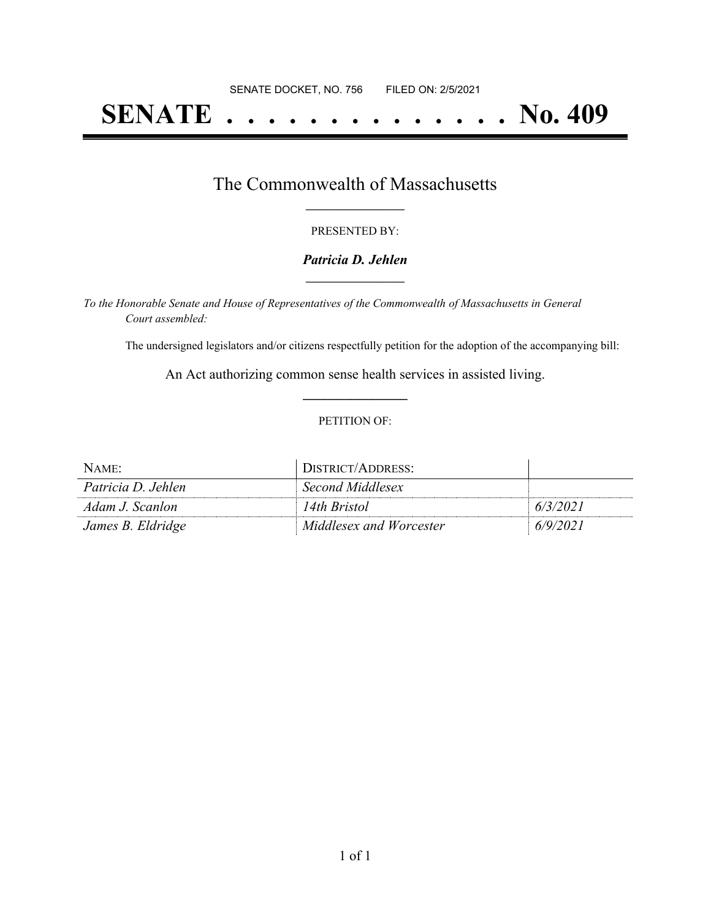# **SENATE . . . . . . . . . . . . . . No. 409**

### The Commonwealth of Massachusetts **\_\_\_\_\_\_\_\_\_\_\_\_\_\_\_\_\_**

#### PRESENTED BY:

#### *Patricia D. Jehlen* **\_\_\_\_\_\_\_\_\_\_\_\_\_\_\_\_\_**

*To the Honorable Senate and House of Representatives of the Commonwealth of Massachusetts in General Court assembled:*

The undersigned legislators and/or citizens respectfully petition for the adoption of the accompanying bill:

An Act authorizing common sense health services in assisted living. **\_\_\_\_\_\_\_\_\_\_\_\_\_\_\_**

#### PETITION OF:

| NAME:              | DISTRICT/ADDRESS:       |          |
|--------------------|-------------------------|----------|
| Patricia D. Jehlen | Second Middlesex        |          |
| Adam J. Scanlon    | 14th Bristol            | 6/3/2021 |
| James B. Eldridge  | Middlesex and Worcester | 6/9/2021 |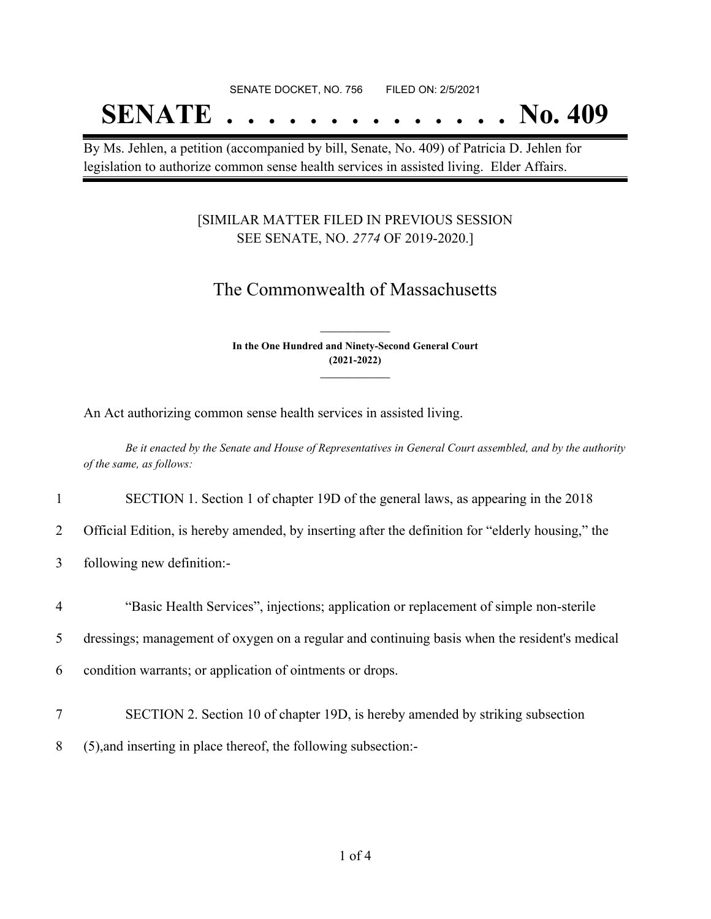SENATE DOCKET, NO. 756 FILED ON: 2/5/2021

# **SENATE . . . . . . . . . . . . . . No. 409**

By Ms. Jehlen, a petition (accompanied by bill, Senate, No. 409) of Patricia D. Jehlen for legislation to authorize common sense health services in assisted living. Elder Affairs.

### [SIMILAR MATTER FILED IN PREVIOUS SESSION SEE SENATE, NO. *2774* OF 2019-2020.]

## The Commonwealth of Massachusetts

**In the One Hundred and Ninety-Second General Court (2021-2022) \_\_\_\_\_\_\_\_\_\_\_\_\_\_\_**

**\_\_\_\_\_\_\_\_\_\_\_\_\_\_\_**

An Act authorizing common sense health services in assisted living.

Be it enacted by the Senate and House of Representatives in General Court assembled, and by the authority *of the same, as follows:*

1 SECTION 1. Section 1 of chapter 19D of the general laws, as appearing in the 2018

- 2 Official Edition, is hereby amended, by inserting after the definition for "elderly housing," the
- 3 following new definition:-
- 4 "Basic Health Services", injections; application or replacement of simple non-sterile

5 dressings; management of oxygen on a regular and continuing basis when the resident's medical

6 condition warrants; or application of ointments or drops.

7 SECTION 2. Section 10 of chapter 19D, is hereby amended by striking subsection

8 (5),and inserting in place thereof, the following subsection:-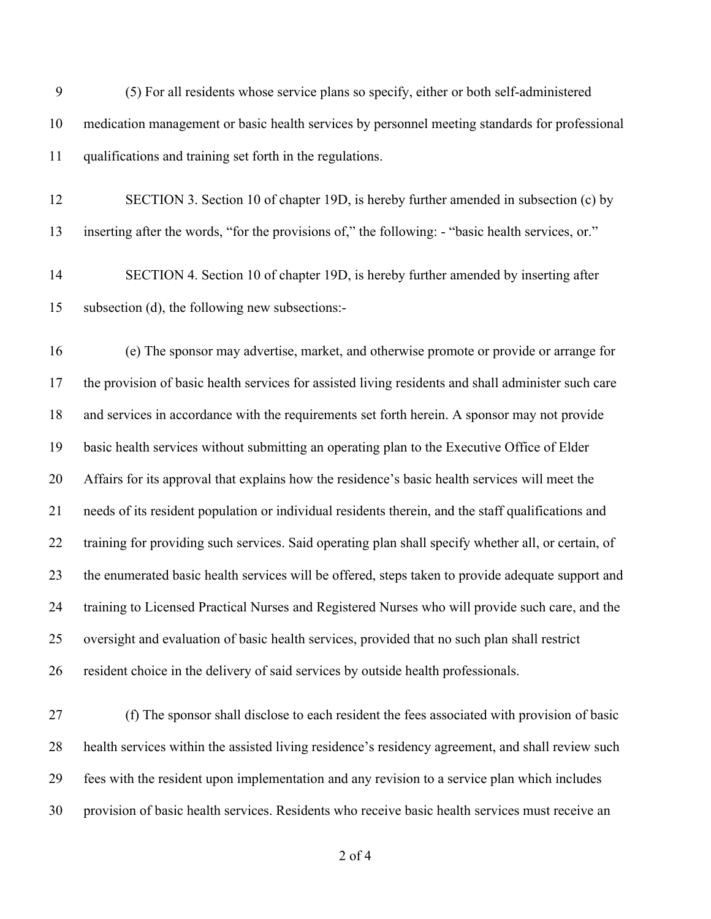- (5) For all residents whose service plans so specify, either or both self-administered medication management or basic health services by personnel meeting standards for professional qualifications and training set forth in the regulations.
- SECTION 3. Section 10 of chapter 19D, is hereby further amended in subsection (c) by inserting after the words, "for the provisions of," the following: - "basic health services, or."

 SECTION 4. Section 10 of chapter 19D, is hereby further amended by inserting after subsection (d), the following new subsections:-

 (e) The sponsor may advertise, market, and otherwise promote or provide or arrange for the provision of basic health services for assisted living residents and shall administer such care and services in accordance with the requirements set forth herein. A sponsor may not provide basic health services without submitting an operating plan to the Executive Office of Elder Affairs for its approval that explains how the residence's basic health services will meet the needs of its resident population or individual residents therein, and the staff qualifications and training for providing such services. Said operating plan shall specify whether all, or certain, of the enumerated basic health services will be offered, steps taken to provide adequate support and training to Licensed Practical Nurses and Registered Nurses who will provide such care, and the oversight and evaluation of basic health services, provided that no such plan shall restrict resident choice in the delivery of said services by outside health professionals.

 (f) The sponsor shall disclose to each resident the fees associated with provision of basic health services within the assisted living residence's residency agreement, and shall review such fees with the resident upon implementation and any revision to a service plan which includes provision of basic health services. Residents who receive basic health services must receive an

of 4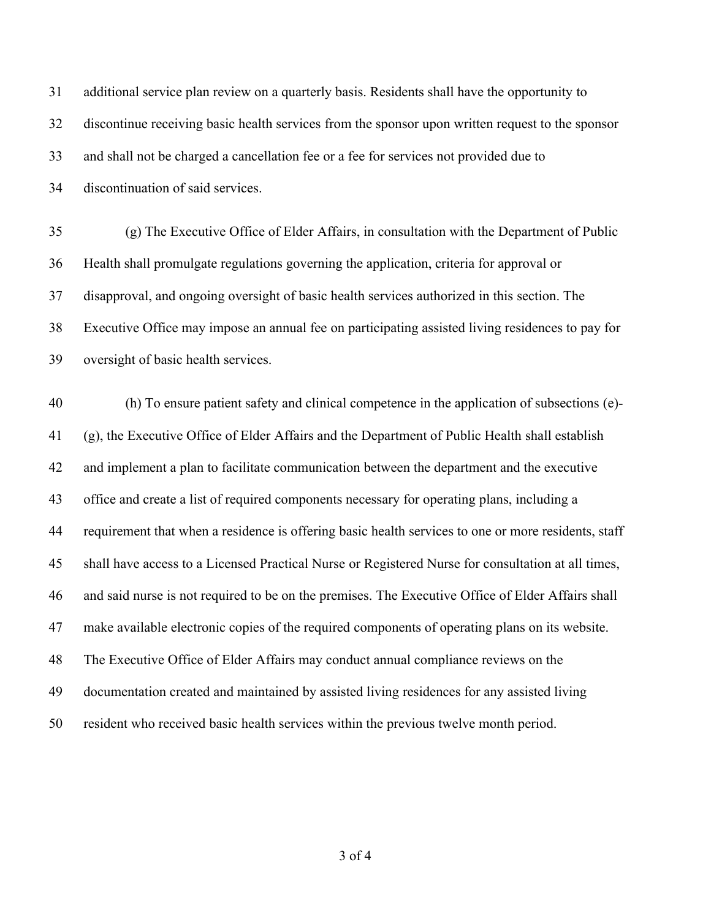additional service plan review on a quarterly basis. Residents shall have the opportunity to discontinue receiving basic health services from the sponsor upon written request to the sponsor and shall not be charged a cancellation fee or a fee for services not provided due to discontinuation of said services.

 (g) The Executive Office of Elder Affairs, in consultation with the Department of Public Health shall promulgate regulations governing the application, criteria for approval or disapproval, and ongoing oversight of basic health services authorized in this section. The Executive Office may impose an annual fee on participating assisted living residences to pay for oversight of basic health services.

 (h) To ensure patient safety and clinical competence in the application of subsections (e)- (g), the Executive Office of Elder Affairs and the Department of Public Health shall establish and implement a plan to facilitate communication between the department and the executive office and create a list of required components necessary for operating plans, including a requirement that when a residence is offering basic health services to one or more residents, staff shall have access to a Licensed Practical Nurse or Registered Nurse for consultation at all times, and said nurse is not required to be on the premises. The Executive Office of Elder Affairs shall make available electronic copies of the required components of operating plans on its website. The Executive Office of Elder Affairs may conduct annual compliance reviews on the documentation created and maintained by assisted living residences for any assisted living resident who received basic health services within the previous twelve month period.